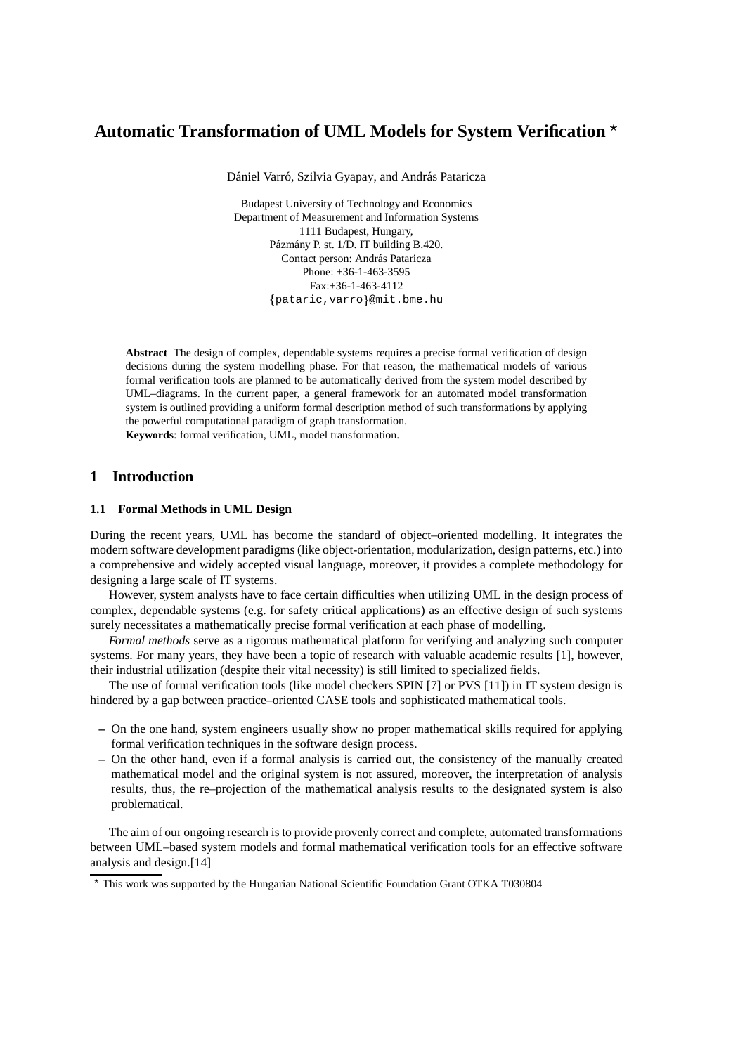# **Automatic Transformation of UML Models for System Verification**

Dániel Varró, Szilvia Gyapay, and András Pataricza

Budapest University of Technology and Economics Department of Measurement and Information Systems 1111 Budapest, Hungary, Pázmány P. st. 1/D. IT building B.420. Contact person: András Pataricza Phone: +36-1-463-3595 Fax:+36-1-463-4112 {pataric,varro}@mit.bme.hu

**Abstract** The design of complex, dependable systems requires a precise formal verification of design decisions during the system modelling phase. For that reason, the mathematical models of various formal verification tools are planned to be automatically derived from the system model described by UML–diagrams. In the current paper, a general framework for an automated model transformation system is outlined providing a uniform formal description method of such transformations by applying the powerful computational paradigm of graph transformation. **Keywords**: formal verification, UML, model transformation.

## **1 Introduction**

### **1.1 Formal Methods in UML Design**

During the recent years, UML has become the standard of object–oriented modelling. It integrates the modern software development paradigms (like object-orientation, modularization, design patterns, etc.) into a comprehensive and widely accepted visual language, moreover, it provides a complete methodology for designing a large scale of IT systems.

However, system analysts have to face certain difficulties when utilizing UML in the design process of complex, dependable systems (e.g. for safety critical applications) as an effective design of such systems surely necessitates a mathematically precise formal verification at each phase of modelling.

*Formal methods* serve as a rigorous mathematical platform for verifying and analyzing such computer systems. For many years, they have been a topic of research with valuable academic results [1], however, their industrial utilization (despite their vital necessity) is still limited to specialized fields.

The use of formal verification tools (like model checkers SPIN [7] or PVS [11]) in IT system design is hindered by a gap between practice–oriented CASE tools and sophisticated mathematical tools.

- **–** On the one hand, system engineers usually show no proper mathematical skills required for applying formal verification techniques in the software design process.
- **–** On the other hand, even if a formal analysis is carried out, the consistency of the manually created mathematical model and the original system is not assured, moreover, the interpretation of analysis results, thus, the re–projection of the mathematical analysis results to the designated system is also problematical.

The aim of our ongoing research is to provide provenly correct and complete, automated transformations between UML–based system models and formal mathematical verification tools for an effective software analysis and design.[14]

This work was supported by the Hungarian National Scientific Foundation Grant OTKA T030804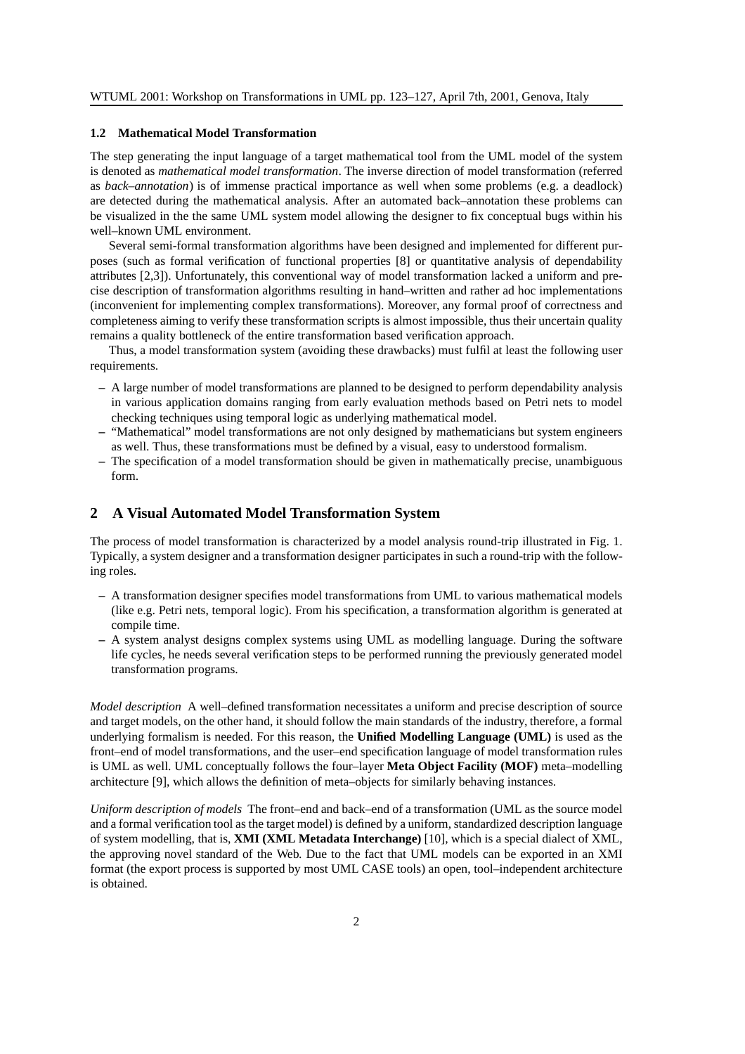#### **1.2 Mathematical Model Transformation**

The step generating the input language of a target mathematical tool from the UML model of the system is denoted as *mathematical model transformation*. The inverse direction of model transformation (referred as *back–annotation*) is of immense practical importance as well when some problems (e.g. a deadlock) are detected during the mathematical analysis. After an automated back–annotation these problems can be visualized in the the same UML system model allowing the designer to fix conceptual bugs within his well–known UML environment.

Several semi-formal transformation algorithms have been designed and implemented for different purposes (such as formal verification of functional properties [8] or quantitative analysis of dependability attributes [2,3]). Unfortunately, this conventional way of model transformation lacked a uniform and precise description of transformation algorithms resulting in hand–written and rather ad hoc implementations (inconvenient for implementing complex transformations). Moreover, any formal proof of correctness and completeness aiming to verify these transformation scripts is almost impossible, thus their uncertain quality remains a quality bottleneck of the entire transformation based verification approach.

Thus, a model transformation system (avoiding these drawbacks) must fulfil at least the following user requirements.

- **–** A large number of model transformations are planned to be designed to perform dependability analysis in various application domains ranging from early evaluation methods based on Petri nets to model checking techniques using temporal logic as underlying mathematical model.
- **–** "Mathematical" model transformations are not only designed by mathematicians but system engineers as well. Thus, these transformations must be defined by a visual, easy to understood formalism.
- **–** The specification of a model transformation should be given in mathematically precise, unambiguous form.

### **2 A Visual Automated Model Transformation System**

The process of model transformation is characterized by a model analysis round-trip illustrated in Fig. 1. Typically, a system designer and a transformation designer participates in such a round-trip with the following roles.

- **–** A transformation designer specifies model transformations from UML to various mathematical models (like e.g. Petri nets, temporal logic). From his specification, a transformation algorithm is generated at compile time.
- **–** A system analyst designs complex systems using UML as modelling language. During the software life cycles, he needs several verification steps to be performed running the previously generated model transformation programs.

*Model description* A well–defined transformation necessitates a uniform and precise description of source and target models, on the other hand, it should follow the main standards of the industry, therefore, a formal underlying formalism is needed. For this reason, the **Unified Modelling Language (UML)** is used as the front–end of model transformations, and the user–end specification language of model transformation rules is UML as well. UML conceptually follows the four–layer **Meta Object Facility (MOF)** meta–modelling architecture [9], which allows the definition of meta–objects for similarly behaving instances.

*Uniform description of models* The front–end and back–end of a transformation (UML as the source model and a formal verification tool as the target model) is defined by a uniform, standardized description language of system modelling, that is, **XMI (XML Metadata Interchange)** [10], which is a special dialect of XML, the approving novel standard of the Web. Due to the fact that UML models can be exported in an XMI format (the export process is supported by most UML CASE tools) an open, tool–independent architecture is obtained.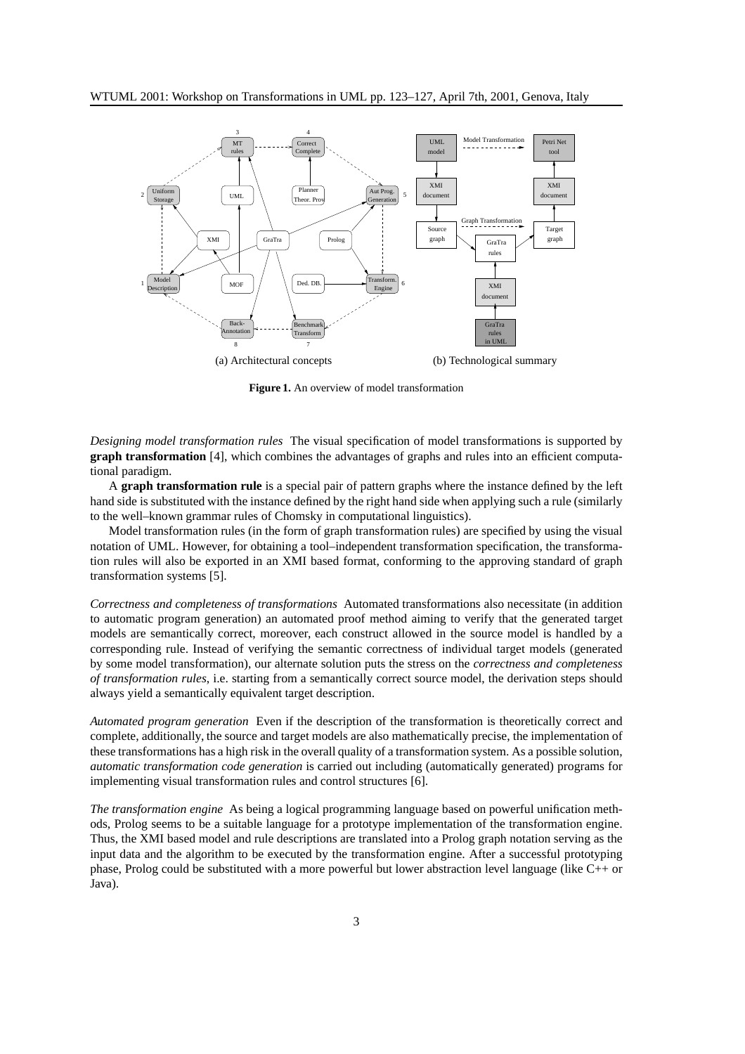

**Figure 1.** An overview of model transformation

*Designing model transformation rules* The visual specification of model transformations is supported by **graph transformation** [4], which combines the advantages of graphs and rules into an efficient computational paradigm.

A **graph transformation rule** is a special pair of pattern graphs where the instance defined by the left hand side is substituted with the instance defined by the right hand side when applying such a rule (similarly to the well–known grammar rules of Chomsky in computational linguistics).

Model transformation rules (in the form of graph transformation rules) are specified by using the visual notation of UML. However, for obtaining a tool–independent transformation specification, the transformation rules will also be exported in an XMI based format, conforming to the approving standard of graph transformation systems [5].

*Correctness and completeness of transformations* Automated transformations also necessitate (in addition to automatic program generation) an automated proof method aiming to verify that the generated target models are semantically correct, moreover, each construct allowed in the source model is handled by a corresponding rule. Instead of verifying the semantic correctness of individual target models (generated by some model transformation), our alternate solution puts the stress on the *correctness and completeness of transformation rules*, i.e. starting from a semantically correct source model, the derivation steps should always yield a semantically equivalent target description.

*Automated program generation* Even if the description of the transformation is theoretically correct and complete, additionally, the source and target models are also mathematically precise, the implementation of these transformations has a high risk in the overall quality of a transformation system. As a possible solution, *automatic transformation code generation* is carried out including (automatically generated) programs for implementing visual transformation rules and control structures [6].

*The transformation engine* As being a logical programming language based on powerful unification methods, Prolog seems to be a suitable language for a prototype implementation of the transformation engine. Thus, the XMI based model and rule descriptions are translated into a Prolog graph notation serving as the input data and the algorithm to be executed by the transformation engine. After a successful prototyping phase, Prolog could be substituted with a more powerful but lower abstraction level language (like C++ or Java).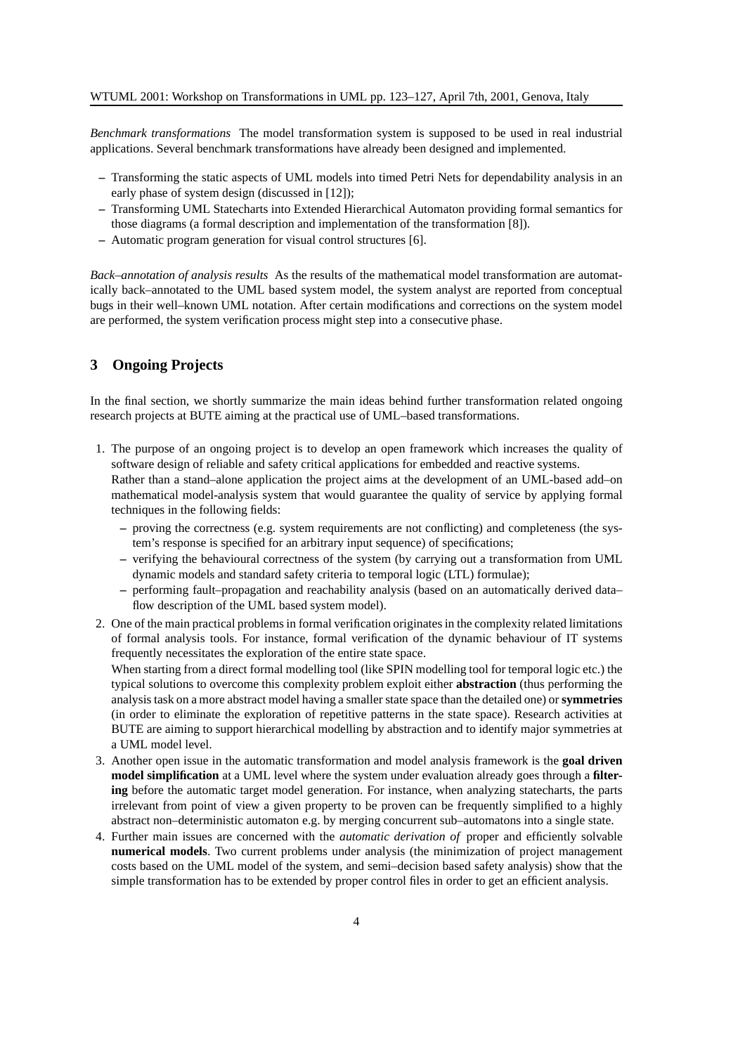*Benchmark transformations* The model transformation system is supposed to be used in real industrial applications. Several benchmark transformations have already been designed and implemented.

- **–** Transforming the static aspects of UML models into timed Petri Nets for dependability analysis in an early phase of system design (discussed in [12]);
- **–** Transforming UML Statecharts into Extended Hierarchical Automaton providing formal semantics for those diagrams (a formal description and implementation of the transformation [8]).
- **–** Automatic program generation for visual control structures [6].

*Back–annotation of analysis results* As the results of the mathematical model transformation are automatically back–annotated to the UML based system model, the system analyst are reported from conceptual bugs in their well–known UML notation. After certain modifications and corrections on the system model are performed, the system verification process might step into a consecutive phase.

# **3 Ongoing Projects**

In the final section, we shortly summarize the main ideas behind further transformation related ongoing research projects at BUTE aiming at the practical use of UML–based transformations.

- 1. The purpose of an ongoing project is to develop an open framework which increases the quality of software design of reliable and safety critical applications for embedded and reactive systems. Rather than a stand–alone application the project aims at the development of an UML-based add–on mathematical model-analysis system that would guarantee the quality of service by applying formal techniques in the following fields:
	- **–** proving the correctness (e.g. system requirements are not conflicting) and completeness (the system's response is specified for an arbitrary input sequence) of specifications;
	- **–** verifying the behavioural correctness of the system (by carrying out a transformation from UML dynamic models and standard safety criteria to temporal logic (LTL) formulae);
	- **–** performing fault–propagation and reachability analysis (based on an automatically derived data– flow description of the UML based system model).
- 2. One of the main practical problemsin formal verification originatesin the complexity related limitations of formal analysis tools. For instance, formal verification of the dynamic behaviour of IT systems frequently necessitates the exploration of the entire state space.

When starting from a direct formal modelling tool (like SPIN modelling tool for temporal logic etc.) the typical solutions to overcome this complexity problem exploit either **abstraction** (thus performing the analysis task on a more abstract model having a smaller state space than the detailed one) or **symmetries** (in order to eliminate the exploration of repetitive patterns in the state space). Research activities at BUTE are aiming to support hierarchical modelling by abstraction and to identify major symmetries at a UML model level.

- 3. Another open issue in the automatic transformation and model analysis framework is the **goal driven model simplification** at a UML level where the system under evaluation already goes through a **filtering** before the automatic target model generation. For instance, when analyzing statecharts, the parts irrelevant from point of view a given property to be proven can be frequently simplified to a highly abstract non–deterministic automaton e.g. by merging concurrent sub–automatons into a single state.
- 4. Further main issues are concerned with the *automatic derivation of* proper and efficiently solvable **numerical models**. Two current problems under analysis (the minimization of project management costs based on the UML model of the system, and semi–decision based safety analysis) show that the simple transformation has to be extended by proper control files in order to get an efficient analysis.